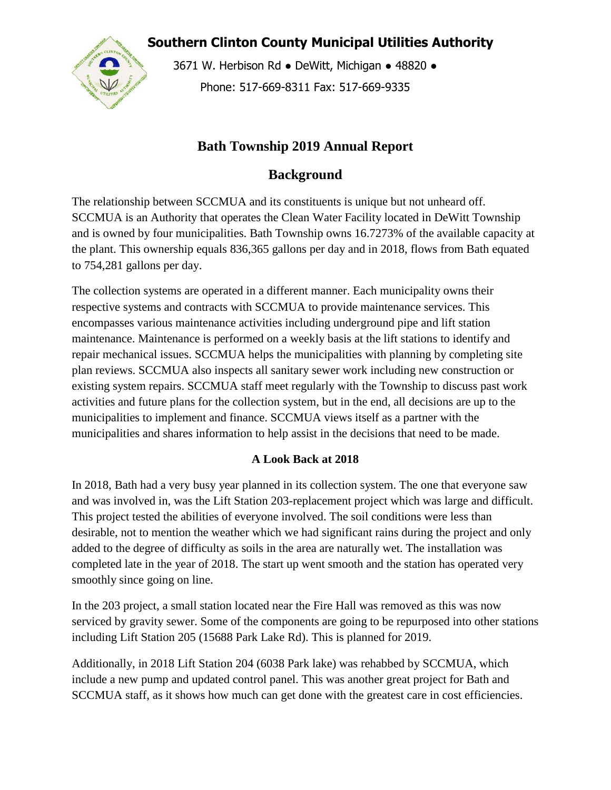**Southern Clinton County Municipal Utilities Authority**



3671 W. Herbison Rd · DeWitt, Michigan · 48820 · Phone: 517-669-8311 Fax: 517-669-9335

## **Bath Township 2019 Annual Report**

# **Background**

The relationship between SCCMUA and its constituents is unique but not unheard off. SCCMUA is an Authority that operates the Clean Water Facility located in DeWitt Township and is owned by four municipalities. Bath Township owns 16.7273% of the available capacity at the plant. This ownership equals 836,365 gallons per day and in 2018, flows from Bath equated to 754,281 gallons per day.

The collection systems are operated in a different manner. Each municipality owns their respective systems and contracts with SCCMUA to provide maintenance services. This encompasses various maintenance activities including underground pipe and lift station maintenance. Maintenance is performed on a weekly basis at the lift stations to identify and repair mechanical issues. SCCMUA helps the municipalities with planning by completing site plan reviews. SCCMUA also inspects all sanitary sewer work including new construction or existing system repairs. SCCMUA staff meet regularly with the Township to discuss past work activities and future plans for the collection system, but in the end, all decisions are up to the municipalities to implement and finance. SCCMUA views itself as a partner with the municipalities and shares information to help assist in the decisions that need to be made.

## **A Look Back at 2018**

In 2018, Bath had a very busy year planned in its collection system. The one that everyone saw and was involved in, was the Lift Station 203-replacement project which was large and difficult. This project tested the abilities of everyone involved. The soil conditions were less than desirable, not to mention the weather which we had significant rains during the project and only added to the degree of difficulty as soils in the area are naturally wet. The installation was completed late in the year of 2018. The start up went smooth and the station has operated very smoothly since going on line.

In the 203 project, a small station located near the Fire Hall was removed as this was now serviced by gravity sewer. Some of the components are going to be repurposed into other stations including Lift Station 205 (15688 Park Lake Rd). This is planned for 2019.

Additionally, in 2018 Lift Station 204 (6038 Park lake) was rehabbed by SCCMUA, which include a new pump and updated control panel. This was another great project for Bath and SCCMUA staff, as it shows how much can get done with the greatest care in cost efficiencies.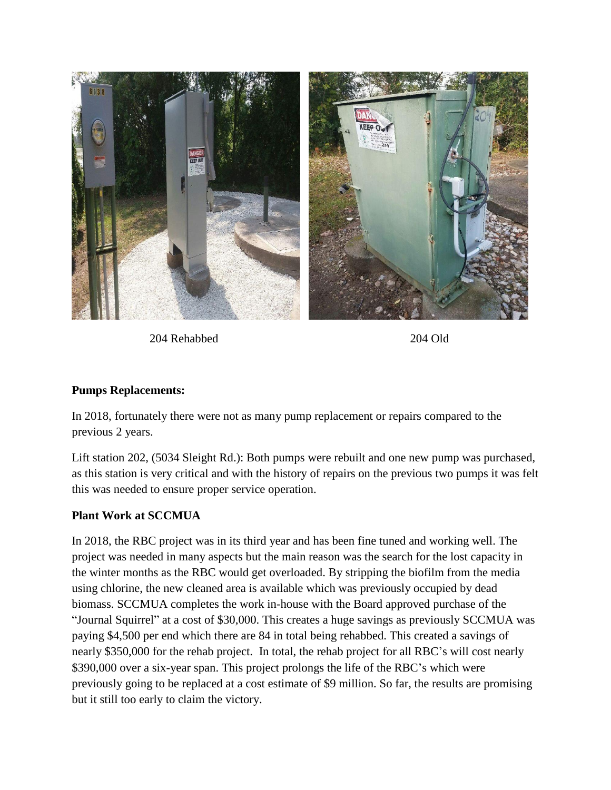

204 Rehabbed 204 Old

#### **Pumps Replacements:**

In 2018, fortunately there were not as many pump replacement or repairs compared to the previous 2 years.

Lift station 202, (5034 Sleight Rd.): Both pumps were rebuilt and one new pump was purchased, as this station is very critical and with the history of repairs on the previous two pumps it was felt this was needed to ensure proper service operation.

#### **Plant Work at SCCMUA**

In 2018, the RBC project was in its third year and has been fine tuned and working well. The project was needed in many aspects but the main reason was the search for the lost capacity in the winter months as the RBC would get overloaded. By stripping the biofilm from the media using chlorine, the new cleaned area is available which was previously occupied by dead biomass. SCCMUA completes the work in-house with the Board approved purchase of the "Journal Squirrel" at a cost of \$30,000. This creates a huge savings as previously SCCMUA was paying \$4,500 per end which there are 84 in total being rehabbed. This created a savings of nearly \$350,000 for the rehab project. In total, the rehab project for all RBC's will cost nearly \$390,000 over a six-year span. This project prolongs the life of the RBC's which were previously going to be replaced at a cost estimate of \$9 million. So far, the results are promising but it still too early to claim the victory.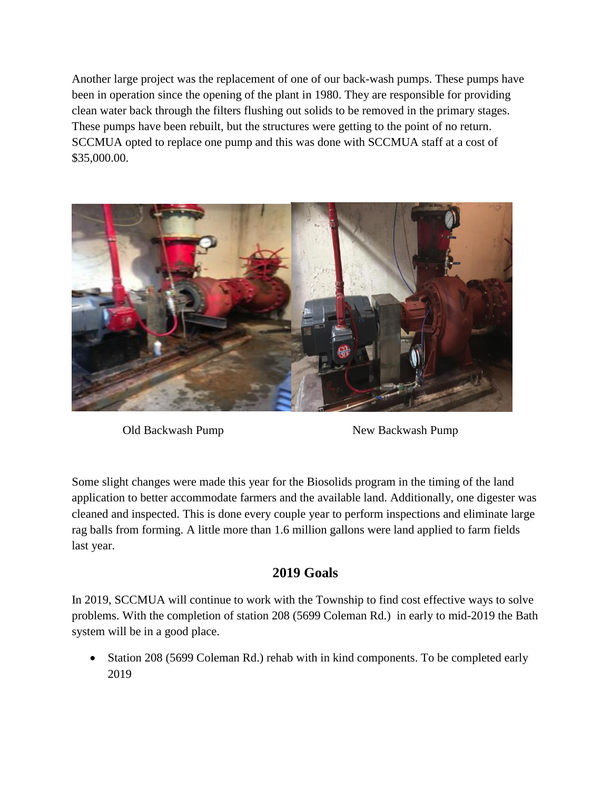Another large project was the replacement of one of our back-wash pumps. These pumps have been in operation since the opening of the plant in 1980. They are responsible for providing clean water back through the filters flushing out solids to be removed in the primary stages. These pumps have been rebuilt, but the structures were getting to the point of no return. SCCMUA opted to replace one pump and this was done with SCCMUA staff at a cost of \$35,000.00.



Old Backwash Pump New Backwash Pump

Some slight changes were made this year for the Biosolids program in the timing of the land application to better accommodate farmers and the available land. Additionally, one digester was cleaned and inspected. This is done every couple year to perform inspections and eliminate large rag balls from forming. A little more than 1.6 million gallons were land applied to farm fields last year.

## **2019 Goals**

In 2019, SCCMUA will continue to work with the Township to find cost effective ways to solve problems. With the completion of station 208 (5699 Coleman Rd.) in early to mid-2019 the Bath system will be in a good place.

• Station 208 (5699 Coleman Rd.) rehab with in kind components. To be completed early 2019